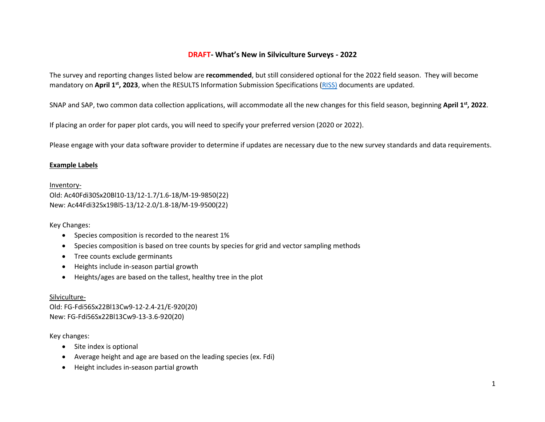## **DRAFT- What's New in Silviculture Surveys - 2022**

The survey and reporting changes listed below are **recommended**, but still considered optional for the 2022 field season. They will become mandatory on April 1<sup>st</sup>, 2023, when the RESULTS Information Submission Specifications [\(RISS\)](https://www2.gov.bc.ca/gov/content/industry/forestry/managing-our-forest-resources/silviculture/silviculture-reporting-results/business-and-policy-documentation) documents are updated.

SNAP and SAP, two common data collection applications, will accommodate all the new changes for this field season, beginning **April 1st, 2022**.

If placing an order for paper plot cards, you will need to specify your preferred version (2020 or 2022).

Please engage with your data software provider to determine if updates are necessary due to the new survey standards and data requirements.

## **Example Labels**

Inventory-Old: Ac40Fdi30Sx20Bl10-13/12-1.7/1.6-18/M-19-9850(22) New: Ac44Fdi32Sx19Bl5-13/12-2.0/1.8-18/M-19-9500(22)

Key Changes:

- Species composition is recorded to the nearest 1%
- Species composition is based on tree counts by species for grid and vector sampling methods
- Tree counts exclude germinants
- Heights include in-season partial growth
- Heights/ages are based on the tallest, healthy tree in the plot

Silviculture-Old: FG-Fdi56Sx22Bl13Cw9-12-2.4-21/E-920(20) New: FG-Fdi56Sx22Bl13Cw9-13-3.6-920(20)

Key changes:

- Site index is optional
- Average height and age are based on the leading species (ex. Fdi)
- Height includes in-season partial growth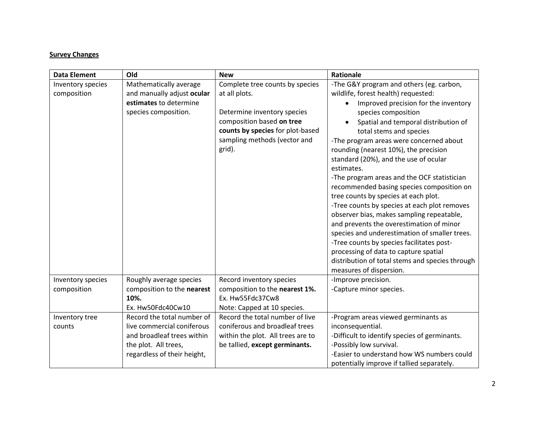## **Survey Changes**

| <b>Data Element</b> | Old                         | <b>New</b>                        | Rationale                                       |
|---------------------|-----------------------------|-----------------------------------|-------------------------------------------------|
| Inventory species   | Mathematically average      | Complete tree counts by species   | -The G&Y program and others (eg. carbon,        |
| composition         | and manually adjust ocular  | at all plots.                     | wildlife, forest health) requested:             |
|                     | estimates to determine      |                                   | Improved precision for the inventory            |
|                     | species composition.        | Determine inventory species       | species composition                             |
|                     |                             | composition based on tree         | Spatial and temporal distribution of            |
|                     |                             | counts by species for plot-based  | total stems and species                         |
|                     |                             | sampling methods (vector and      | -The program areas were concerned about         |
|                     |                             | grid).                            | rounding (nearest 10%), the precision           |
|                     |                             |                                   | standard (20%), and the use of ocular           |
|                     |                             |                                   | estimates.                                      |
|                     |                             |                                   | -The program areas and the OCF statistician     |
|                     |                             |                                   | recommended basing species composition on       |
|                     |                             |                                   | tree counts by species at each plot.            |
|                     |                             |                                   | -Tree counts by species at each plot removes    |
|                     |                             |                                   | observer bias, makes sampling repeatable,       |
|                     |                             |                                   | and prevents the overestimation of minor        |
|                     |                             |                                   | species and underestimation of smaller trees.   |
|                     |                             |                                   | -Tree counts by species facilitates post-       |
|                     |                             |                                   | processing of data to capture spatial           |
|                     |                             |                                   | distribution of total stems and species through |
|                     |                             |                                   | measures of dispersion.                         |
| Inventory species   | Roughly average species     | Record inventory species          | -Improve precision.                             |
| composition         | composition to the nearest  | composition to the nearest 1%.    | -Capture minor species.                         |
|                     | 10%.                        | Ex. Hw55Fdc37Cw8                  |                                                 |
|                     | Ex. Hw50Fdc40Cw10           | Note: Capped at 10 species.       |                                                 |
| Inventory tree      | Record the total number of  | Record the total number of live   | -Program areas viewed germinants as             |
| counts              | live commercial coniferous  | coniferous and broadleaf trees    | inconsequential.                                |
|                     | and broadleaf trees within  | within the plot. All trees are to | -Difficult to identify species of germinants.   |
|                     | the plot. All trees,        | be tallied, except germinants.    | -Possibly low survival.                         |
|                     | regardless of their height, |                                   | -Easier to understand how WS numbers could      |
|                     |                             |                                   | potentially improve if tallied separately.      |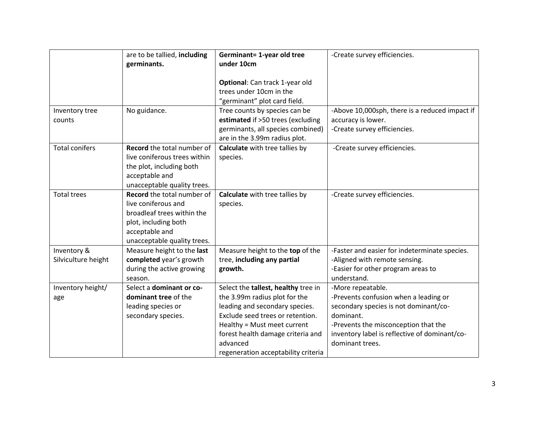|                       | are to be tallied, including<br>germinants. | Germinant= 1-year old tree<br>under 10cm | -Create survey efficiencies.                   |
|-----------------------|---------------------------------------------|------------------------------------------|------------------------------------------------|
|                       |                                             | Optional: Can track 1-year old           |                                                |
|                       |                                             | trees under 10cm in the                  |                                                |
|                       |                                             | "germinant" plot card field.             |                                                |
| Inventory tree        | No guidance.                                | Tree counts by species can be            | -Above 10,000sph, there is a reduced impact if |
| counts                |                                             | estimated if >50 trees (excluding        | accuracy is lower.                             |
|                       |                                             | germinants, all species combined)        | -Create survey efficiencies.                   |
|                       |                                             | are in the 3.99m radius plot.            |                                                |
| <b>Total conifers</b> | Record the total number of                  | Calculate with tree tallies by           | -Create survey efficiencies.                   |
|                       | live coniferous trees within                | species.                                 |                                                |
|                       | the plot, including both                    |                                          |                                                |
|                       | acceptable and                              |                                          |                                                |
|                       | unacceptable quality trees.                 |                                          |                                                |
| <b>Total trees</b>    | Record the total number of                  | Calculate with tree tallies by           | -Create survey efficiencies.                   |
|                       | live coniferous and                         | species.                                 |                                                |
|                       | broadleaf trees within the                  |                                          |                                                |
|                       | plot, including both                        |                                          |                                                |
|                       | acceptable and                              |                                          |                                                |
|                       | unacceptable quality trees.                 |                                          |                                                |
| Inventory &           | Measure height to the last                  | Measure height to the top of the         | -Faster and easier for indeterminate species.  |
| Silviculture height   | completed year's growth                     | tree, including any partial              | -Aligned with remote sensing.                  |
|                       | during the active growing                   | growth.                                  | -Easier for other program areas to             |
|                       | season.                                     |                                          | understand.                                    |
| Inventory height/     | Select a dominant or co-                    | Select the tallest, healthy tree in      | -More repeatable.                              |
| age                   | dominant tree of the                        | the 3.99m radius plot for the            | -Prevents confusion when a leading or          |
|                       | leading species or                          | leading and secondary species.           | secondary species is not dominant/co-          |
|                       | secondary species.                          | Exclude seed trees or retention.         | dominant.                                      |
|                       |                                             | Healthy = Must meet current              | -Prevents the misconception that the           |
|                       |                                             | forest health damage criteria and        | inventory label is reflective of dominant/co-  |
|                       |                                             | advanced                                 | dominant trees.                                |
|                       |                                             | regeneration acceptability criteria      |                                                |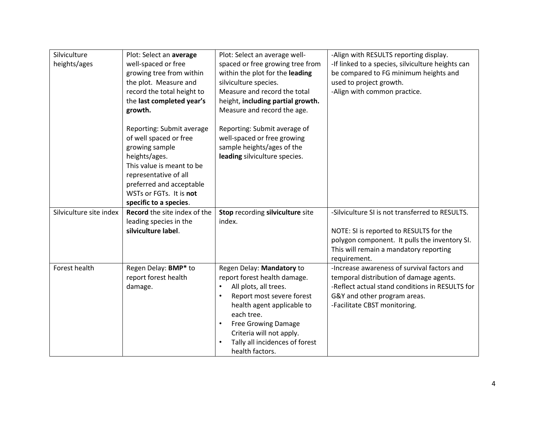| Silviculture            | Plot: Select an average      | Plot: Select an average well-           | -Align with RESULTS reporting display.            |
|-------------------------|------------------------------|-----------------------------------------|---------------------------------------------------|
| heights/ages            | well-spaced or free          | spaced or free growing tree from        | -If linked to a species, silviculture heights can |
|                         | growing tree from within     | within the plot for the leading         | be compared to FG minimum heights and             |
|                         | the plot. Measure and        | silviculture species.                   | used to project growth.                           |
|                         | record the total height to   | Measure and record the total            | -Align with common practice.                      |
|                         | the last completed year's    | height, including partial growth.       |                                                   |
|                         | growth.                      | Measure and record the age.             |                                                   |
|                         |                              |                                         |                                                   |
|                         | Reporting: Submit average    | Reporting: Submit average of            |                                                   |
|                         | of well spaced or free       | well-spaced or free growing             |                                                   |
|                         | growing sample               | sample heights/ages of the              |                                                   |
|                         | heights/ages.                | leading silviculture species.           |                                                   |
|                         | This value is meant to be    |                                         |                                                   |
|                         | representative of all        |                                         |                                                   |
|                         | preferred and acceptable     |                                         |                                                   |
|                         | WSTs or FGTs. It is not      |                                         |                                                   |
|                         | specific to a species.       |                                         |                                                   |
| Silviculture site index | Record the site index of the | Stop recording silviculture site        | -Silviculture SI is not transferred to RESULTS.   |
|                         | leading species in the       | index.                                  |                                                   |
|                         | silviculture label.          |                                         | NOTE: SI is reported to RESULTS for the           |
|                         |                              |                                         | polygon component. It pulls the inventory SI.     |
|                         |                              |                                         | This will remain a mandatory reporting            |
|                         |                              |                                         | requirement.                                      |
| Forest health           | Regen Delay: BMP* to         | Regen Delay: Mandatory to               | -Increase awareness of survival factors and       |
|                         | report forest health         | report forest health damage.            | temporal distribution of damage agents.           |
|                         | damage.                      | All plots, all trees.<br>$\bullet$      | -Reflect actual stand conditions in RESULTS for   |
|                         |                              | Report most severe forest               | G&Y and other program areas.                      |
|                         |                              | health agent applicable to              | -Facilitate CBST monitoring.                      |
|                         |                              | each tree.                              |                                                   |
|                         |                              | <b>Free Growing Damage</b><br>$\bullet$ |                                                   |
|                         |                              | Criteria will not apply.                |                                                   |
|                         |                              | Tally all incidences of forest          |                                                   |
|                         |                              | health factors.                         |                                                   |